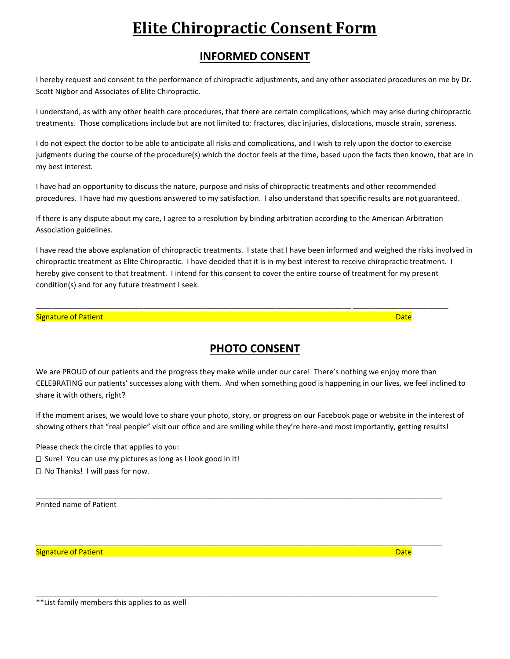## **Elite Chiropractic Consent Form**

## **INFORMED CONSENT**

I hereby request and consent to the performance of chiropractic adjustments, and any other associated procedures on me by Dr. Scott Nigbor and Associates of Elite Chiropractic.

I understand, as with any other health care procedures, that there are certain complications, which may arise during chiropractic treatments. Those complications include but are not limited to: fractures, disc injuries, dislocations, muscle strain, soreness.

I do not expect the doctor to be able to anticipate all risks and complications, and I wish to rely upon the doctor to exercise judgments during the course of the procedure(s) which the doctor feels at the time, based upon the facts then known, that are in my best interest.

I have had an opportunity to discuss the nature, purpose and risks of chiropractic treatments and other recommended procedures. I have had my questions answered to my satisfaction. I also understand that specific results are not guaranteed.

If there is any dispute about my care, I agree to a resolution by binding arbitration according to the American Arbitration Association guidelines.

\_\_\_\_\_\_\_\_\_\_\_\_\_\_\_\_\_\_\_\_\_\_\_\_\_\_\_\_\_\_\_\_\_\_\_\_\_\_\_\_\_\_\_\_\_\_\_\_\_\_\_\_\_\_\_\_\_\_\_\_\_\_\_\_\_\_\_\_\_\_\_\_\_\_\_\_ \_\_\_\_\_\_\_\_\_\_\_\_\_\_\_\_\_\_\_\_\_\_\_

I have read the above explanation of chiropractic treatments. I state that I have been informed and weighed the risks involved in chiropractic treatment as Elite Chiropractic. I have decided that it is in my best interest to receive chiropractic treatment. I hereby give consent to that treatment. I intend for this consent to cover the entire course of treatment for my present condition(s) and for any future treatment I seek.

## Signature of Patient **Date of Patient Community Community** Community Community Community Community Community Community Community Community Community Community Community Community Community Community Community Community Com

**PHOTO CONSENT**

We are PROUD of our patients and the progress they make while under our care! There's nothing we enjoy more than CELEBRATING our patients' successes along with them. And when something good is happening in our lives, we feel inclined to share it with others, right?

If the moment arises, we would love to share your photo, story, or progress on our Facebook page or website in the interest of showing others that "real people" visit our office and are smiling while they're here-and most importantly, getting results!

\_\_\_\_\_\_\_\_\_\_\_\_\_\_\_\_\_\_\_\_\_\_\_\_\_\_\_\_\_\_\_\_\_\_\_\_\_\_\_\_\_\_\_\_\_\_\_\_\_\_\_\_\_\_\_\_\_\_\_\_\_\_\_\_\_\_\_\_\_\_\_\_\_\_\_\_\_\_\_\_\_\_\_\_\_\_\_\_\_\_\_\_\_\_\_\_\_\_

\_\_\_\_\_\_\_\_\_\_\_\_\_\_\_\_\_\_\_\_\_\_\_\_\_\_\_\_\_\_\_\_\_\_\_\_\_\_\_\_\_\_\_\_\_\_\_\_\_\_\_\_\_\_\_\_\_\_\_\_\_\_\_\_\_\_\_\_\_\_\_\_\_\_\_\_\_\_\_\_\_\_\_\_\_\_\_\_\_\_\_\_\_\_\_\_\_\_

\_\_\_\_\_\_\_\_\_\_\_\_\_\_\_\_\_\_\_\_\_\_\_\_\_\_\_\_\_\_\_\_\_\_\_\_\_\_\_\_\_\_\_\_\_\_\_\_\_\_\_\_\_\_\_\_\_\_\_\_\_\_\_\_\_\_\_\_\_\_\_\_\_\_\_\_\_\_\_\_\_\_\_\_\_\_\_\_\_\_\_\_\_\_\_\_\_

Please check the circle that applies to you: □ Sure! You can use my pictures as long as I look good in it! □ No Thanks! I will pass for now.

Printed name of Patient

Signature of Patient **Date of Patient Community Community** Community Community Community Community Community Comm

\*\*List family members this applies to as well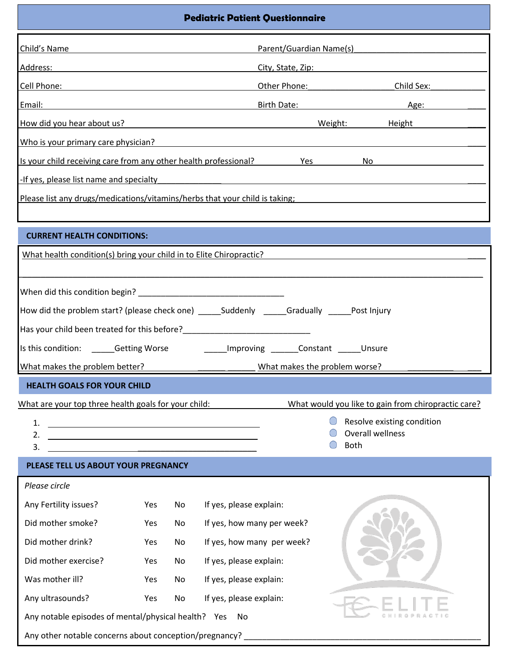| <b>Pediatric Patient Questionnaire</b>                                                                                                                                                                                                     |                                                                                                                                                                                                                                      |    |                                                                                                                        |                                                                                                                   |  |  |
|--------------------------------------------------------------------------------------------------------------------------------------------------------------------------------------------------------------------------------------------|--------------------------------------------------------------------------------------------------------------------------------------------------------------------------------------------------------------------------------------|----|------------------------------------------------------------------------------------------------------------------------|-------------------------------------------------------------------------------------------------------------------|--|--|
| Child's Name<br>Parent/Guardian Name(s)                                                                                                                                                                                                    |                                                                                                                                                                                                                                      |    |                                                                                                                        |                                                                                                                   |  |  |
| Address:<br><u> 1989 - Johann Barn, mars ann an t-Amhain an t-Amhain an t-Amhain an t-Amhain an t-Amhain an t-Amhain an t-Amh</u><br>City, State, Zip: National City, State, Zip:                                                          |                                                                                                                                                                                                                                      |    |                                                                                                                        |                                                                                                                   |  |  |
|                                                                                                                                                                                                                                            | Other Phone: Child Sex:                                                                                                                                                                                                              |    |                                                                                                                        |                                                                                                                   |  |  |
|                                                                                                                                                                                                                                            | <u>Email: 2008 - 2008 - 2008 - 2008 - 2019 - 2019 - 2019 - 2019 - 2019 - 2019 - 2019 - 2019 - 2019 - 2019 - 2019 - 2019 - 2019 - 2019 - 2019 - 2019 - 2019 - 2019 - 2019 - 2019 - 2019 - 2019 - 2019 - 2019 - 2019 - 2019 - 2019</u> |    |                                                                                                                        | Birth Date: Age: Age:                                                                                             |  |  |
| Weight: Height<br>How did you hear about us?                                                                                                                                                                                               |                                                                                                                                                                                                                                      |    |                                                                                                                        |                                                                                                                   |  |  |
| Who is your primary care physician?<br><u> 1989 - Johann Stein, fransk politik (d. 1989)</u>                                                                                                                                               |                                                                                                                                                                                                                                      |    |                                                                                                                        |                                                                                                                   |  |  |
|                                                                                                                                                                                                                                            |                                                                                                                                                                                                                                      |    | Is your child receiving care from any other health professional? Yes                                                   | No provide a contractor of the contractor of the contractor of the contractor of the contractor of the contractor |  |  |
| -If yes, please list name and specialty                                                                                                                                                                                                    |                                                                                                                                                                                                                                      |    |                                                                                                                        |                                                                                                                   |  |  |
|                                                                                                                                                                                                                                            |                                                                                                                                                                                                                                      |    |                                                                                                                        | Please list any drugs/medications/vitamins/herbs that your child is taking;                                       |  |  |
|                                                                                                                                                                                                                                            |                                                                                                                                                                                                                                      |    |                                                                                                                        |                                                                                                                   |  |  |
| <b>CURRENT HEALTH CONDITIONS:</b>                                                                                                                                                                                                          |                                                                                                                                                                                                                                      |    |                                                                                                                        |                                                                                                                   |  |  |
| What health condition(s) bring your child in to Elite Chiropractic?                                                                                                                                                                        |                                                                                                                                                                                                                                      |    |                                                                                                                        |                                                                                                                   |  |  |
|                                                                                                                                                                                                                                            |                                                                                                                                                                                                                                      |    |                                                                                                                        |                                                                                                                   |  |  |
|                                                                                                                                                                                                                                            |                                                                                                                                                                                                                                      |    |                                                                                                                        |                                                                                                                   |  |  |
|                                                                                                                                                                                                                                            |                                                                                                                                                                                                                                      |    | How did the problem start? (please check one) _____Suddenly _____Gradually _____Post Injury                            |                                                                                                                   |  |  |
|                                                                                                                                                                                                                                            |                                                                                                                                                                                                                                      |    |                                                                                                                        |                                                                                                                   |  |  |
|                                                                                                                                                                                                                                            |                                                                                                                                                                                                                                      |    | Is this condition: ______Getting Worse ____________Improving _______Constant ______Unsure                              |                                                                                                                   |  |  |
| What makes the problem better?                                                                                                                                                                                                             |                                                                                                                                                                                                                                      |    | What makes the problem worse?                                                                                          |                                                                                                                   |  |  |
| <b>HEALTH GOALS FOR YOUR CHILD</b>                                                                                                                                                                                                         |                                                                                                                                                                                                                                      |    |                                                                                                                        |                                                                                                                   |  |  |
| What are your top three health goals for your child:                                                                                                                                                                                       |                                                                                                                                                                                                                                      |    |                                                                                                                        | What would you like to gain from chiropractic care?                                                               |  |  |
| 1.                                                                                                                                                                                                                                         |                                                                                                                                                                                                                                      |    |                                                                                                                        | Resolve existing condition                                                                                        |  |  |
| <u> 1989 - Johann Harry Harry Harry Harry Harry Harry Harry Harry Harry Harry Harry Harry Harry Harry Harry Harry Harry Harry Harry Harry Harry Harry Harry Harry Harry Harry Harry Harry Harry Harry Harry Harry Harry Harry Ha</u><br>2. |                                                                                                                                                                                                                                      |    |                                                                                                                        | Overall wellness                                                                                                  |  |  |
| 3.                                                                                                                                                                                                                                         |                                                                                                                                                                                                                                      |    | <u> 1980 - Johann John Stone, market fan it ferskearre fan it ferskearre fan it ferskearre fan it ferskearre fan i</u> | Both                                                                                                              |  |  |
| PLEASE TELL US ABOUT YOUR PREGNANCY                                                                                                                                                                                                        |                                                                                                                                                                                                                                      |    |                                                                                                                        |                                                                                                                   |  |  |
| Please circle                                                                                                                                                                                                                              |                                                                                                                                                                                                                                      |    |                                                                                                                        |                                                                                                                   |  |  |
| Any Fertility issues?                                                                                                                                                                                                                      | Yes                                                                                                                                                                                                                                  | No | If yes, please explain:                                                                                                |                                                                                                                   |  |  |
| Did mother smoke?                                                                                                                                                                                                                          | Yes                                                                                                                                                                                                                                  | No | If yes, how many per week?                                                                                             |                                                                                                                   |  |  |
| Did mother drink?                                                                                                                                                                                                                          | Yes                                                                                                                                                                                                                                  | No | If yes, how many per week?                                                                                             |                                                                                                                   |  |  |
| Did mother exercise?                                                                                                                                                                                                                       | Yes                                                                                                                                                                                                                                  | No | If yes, please explain:                                                                                                |                                                                                                                   |  |  |
| Was mother ill?                                                                                                                                                                                                                            | Yes                                                                                                                                                                                                                                  | No | If yes, please explain:                                                                                                |                                                                                                                   |  |  |
| Any ultrasounds?                                                                                                                                                                                                                           | Yes                                                                                                                                                                                                                                  | No | If yes, please explain:                                                                                                |                                                                                                                   |  |  |
| Any notable episodes of mental/physical health? Yes<br>No.                                                                                                                                                                                 |                                                                                                                                                                                                                                      |    |                                                                                                                        |                                                                                                                   |  |  |
| Any other notable concerns about conception/pregnancy? _________________________                                                                                                                                                           |                                                                                                                                                                                                                                      |    |                                                                                                                        |                                                                                                                   |  |  |

 $\mathcal{L}$